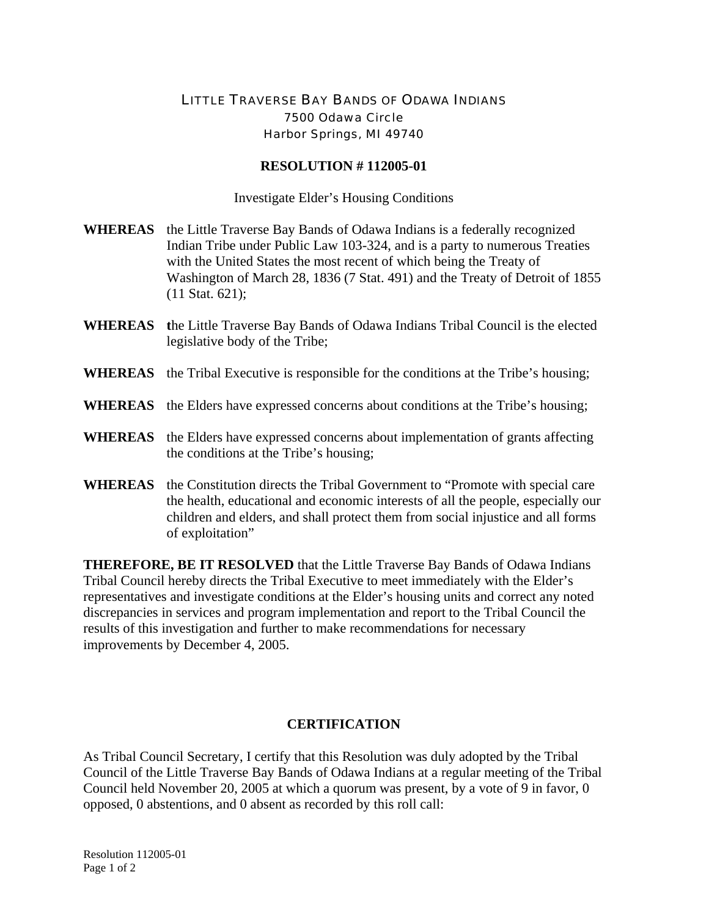## LITTLE TRAVERSE BAY BANDS OF ODAWA INDIANS 7500 Odawa Circle Harbor Springs, MI 49740

## **RESOLUTION # 112005-01**

Investigate Elder's Housing Conditions

- **WHEREAS** the Little Traverse Bay Bands of Odawa Indians is a federally recognized Indian Tribe under Public Law 103-324, and is a party to numerous Treaties with the United States the most recent of which being the Treaty of Washington of March 28, 1836 (7 Stat. 491) and the Treaty of Detroit of 1855 (11 Stat. 621);
- **WHEREAS t**he Little Traverse Bay Bands of Odawa Indians Tribal Council is the elected legislative body of the Tribe;
- **WHEREAS** the Tribal Executive is responsible for the conditions at the Tribe's housing;
- **WHEREAS** the Elders have expressed concerns about conditions at the Tribe's housing;
- **WHEREAS** the Elders have expressed concerns about implementation of grants affecting the conditions at the Tribe's housing;
- **WHEREAS** the Constitution directs the Tribal Government to "Promote with special care the health, educational and economic interests of all the people, especially our children and elders, and shall protect them from social injustice and all forms of exploitation"

**THEREFORE, BE IT RESOLVED** that the Little Traverse Bay Bands of Odawa Indians Tribal Council hereby directs the Tribal Executive to meet immediately with the Elder's representatives and investigate conditions at the Elder's housing units and correct any noted discrepancies in services and program implementation and report to the Tribal Council the results of this investigation and further to make recommendations for necessary improvements by December 4, 2005.

## **CERTIFICATION**

As Tribal Council Secretary, I certify that this Resolution was duly adopted by the Tribal Council of the Little Traverse Bay Bands of Odawa Indians at a regular meeting of the Tribal Council held November 20, 2005 at which a quorum was present, by a vote of 9 in favor, 0 opposed, 0 abstentions, and 0 absent as recorded by this roll call: